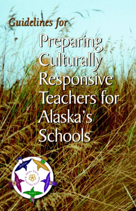### Guidelines for

# Preparing Cullturally Responsive **Teachers for** Alaska's Schools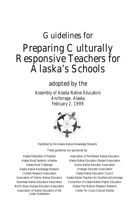#### Guidelines for Preparing Culturally Responsive Teachers for Alaska's Schools

adopted by the

Assembly of Alaska Native Educators Anchorage, Alaska February 2, 1999



Published by the Alaska Native Knowledge Network

These guidelines are sponsored by:

Alaska Federation of Natives Alaska Rural Systemic Initiative Alaska Rural Challenge Alaska Native Knowledge Network Ciulistet Research Association Association of Interior Native Educators Southeast Native Educators Association North Slope Iñupiaq Educators Association Association of Native Educators of the Lower Kuskokwim

Association of Northwest Native Educators Alaska Native Education Student Association Alutiiq Native Educator Association Unangan Educator Association Alaska Native Education Council Alaska Native Teachers for Excellence/Anchorage Consortium of Alaska Native Higher Education Alaska First Nations Research Network Center For Cross-Cultural Studies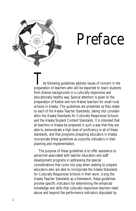

### Preface

The following guidelines address issues of concern in the<br>preparation of teachers who will be expected to teach students from diverse backgrounds in a culturally responsive and educationally healthy way. Special attention is given to the preparation of Native and non-Native teachers for small rural schools in Alaska. The guidelines are presented as they relate to each of the Alaska Teacher Standards, taking into consideration the Alaska Standards for Culturally Responsive Schools and the Alaska Student Content Standards. It is intended that all teachers in Alaska be prepared in such a way that they are able to demonstrate a high level of proficiency in all of these standards, and that programs preparing educators in Alaska incorporate these guidelines as outcome indicators in their planning and implementation.

The purpose of these guidelines is to offer assistance to personnel associated with teacher education and staff development programs in addressing the special considerations that come into play when seeking to prepare educators who are able to incorporate the Alaska Standards for Culturally Responsive Schools in their work. Using the Alaska Teacher Standards as a framework, these guidelines provide specific indicators for determining the enhanced knowledge and skills that culturally responsive teachers need above and beyond the performance indicators stipulated by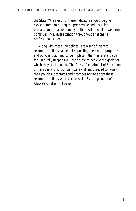the State. While each of these indicators should be given explicit attention during the pre-service and inservice preparation of teachers, many of them will benefit as well from continued individual attention throughout a teacher's professional career.

Along with these "guidelines" are a set of "general recommendations" aimed at stipulating the kind of programs and policies that need to be in place if the Alaska Standards for Culturally Responsive Schools are to achieve the goals for which they are intended. The Alaska Department of Education, universities and school districts are all encouraged to review their policies, programs and practices and to adopt these recommendations wherever possible. By doing so, all of Alaska's children will benefit.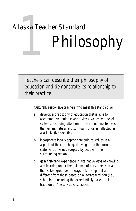## laska Tead<br>|<br>| Alaska Teacher Standard Philosophy

Teachers can describe their philosophy of education and demonstrate its relationship to their practice.

- a. develop a philosophy of education that is able to accommodate multiple world views, values and belief systems, including attention to the interconnectedness of the human, natural and spiritual worlds as reflected in Alaska Native societies.
- b. incorporate locally appropriate cultural values in all aspects of their teaching, drawing upon the formal statement of values adopted by people in the surrounding region.
- c. gain first-hand experience in alternative ways of knowing and learning under the guidance of personnel who are themselves grounded in ways of knowing that are different from those based on a literate tradition (i.e., schooling), including the experientially-based oral tradition of Alaska Native societies.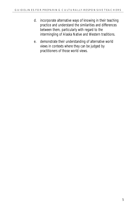- d. incorporate alternative ways of knowing in their teaching practice and understand the similarities and differences between them, particularly with regard to the intermingling of Alaska Native and Western traditions.
- e. demonstrate their understanding of alternative world views in contexts where they can be judged by practitioners of those world views.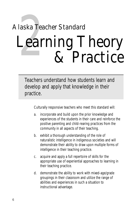### laska Tead<br>Lear Alaska Teacher Standard Learning Theory & Practice

Teachers understand how students learn and develop and apply that knowledge in their practice.

- a. incorporate and build upon the prior knowledge and experiences of the students in their care and reinforce the positive parenting and child-rearing practices from the community in all aspects of their teaching.
- b. exhibit a thorough understanding of the role of naturalistic intelligence in indigenous societies and will demonstrate their ability to draw upon multiple forms of intelligence in their teaching practice.
- c. acquire and apply a full repertoire of skills for the appropriate use of experiential approaches to learning in their teaching practice.
- d. demonstrate the ability to work with mixed-age/grade groupings in their classroom and utilize the range of abilities and experiences in such a situation to instructional advantage.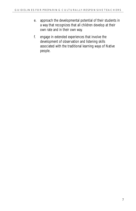- e. approach the developmental potential of their students in a way that recognizes that all children develop at their own rate and in their own way.
- f. engage in extended experiences that involve the development of observation and listening skills associated with the traditional learning ways of Native people.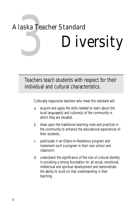## laska Tead<br>September<br>1991 – Salaman Santa Tead<br>1991 – Salaman Salaman Salaman Salaman Salaman Salaman Salaman Salaman Salaman Salaman Salaman Salaman Salama Alaska Teacher Standard Diversity

Teachers teach students with respect for their individual and cultural characteristics.

- a. acquire and apply the skills needed to learn about the local language(s) and culture(s) of the community in which they are situated.
- b. draw upon the traditional teaching roles and practices in the community to enhance the educational experiences of their students.
- c. participate in an Elders-in-Residence program and implement such a program in their own school and classroom.
- d. understand the significance of the role of cultural identity in providing a strong foundation for all social, emotional, intellectual and spiritual development and demonstrate the ability to build on that understanding in their teaching.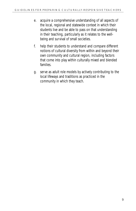- e. acquire a comprehensive understanding of all aspects of the local, regional and statewide context in which their students live and be able to pass on that understanding in their teaching, particularly as it relates to the wellbeing and survival of small societies.
- f. help their students to understand and compare different notions of cultural diversity from within and beyond their own community and cultural region, including factors that come into play within culturally mixed and blended families.
- g. serve as adult role models by actively contributing to the local lifeways and traditions as practiced in the community in which they teach.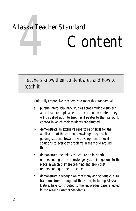## laska Tead<br>**Album**<br>Album Alaska Teacher Standard Content

Teachers know their content area and how to teach it.

- a. pursue interdisciplinary studies across multiple subject areas that are applicable to the curriculum content they will be called upon to teach as it relates to the real-world context in which their students are situated.
- b. demonstrate an extensive repertoire of skills for the application of the content knowledge they teach in guiding students toward the development of local solutions to everyday problems in the world around them.
- c. demonstrate the ability to acquire an in-depth understanding of the knowledge system indigenous to the place in which they are teaching and apply that understanding in their practice.
- d. demonstrate a recognition that many and various cultural traditions from throughout the world, including Alaska Native, have contributed to the knowledge base reflected in the Alaska Content Standards.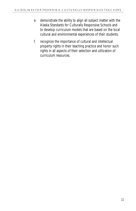- e. demonstrate the ability to align all subject matter with the Alaska Standards for Culturally Responsive Schools and to develop curriculum models that are based on the local cultural and environmental experiences of their students.
- f. recognize the importance of cultural and intellectual property rights in their teaching practice and honor such rights in all aspects of their selection and utilization of curriculum resources.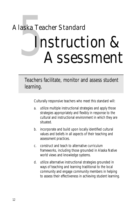### laska Tead<br>Single Alaska Teacher Standard Instruction & Assessment

Teachers facilitate, monitor and assess student learning.

- a. utilize multiple instructional strategies and apply those strategies appropriately and flexibly in response to the cultural and instructional environment in which they are situated.
- b. incorporate and build upon locally identified cultural values and beliefs in all aspects of their teaching and assessment practices.
- c. construct and teach to alternative curriculum frameworks, including those grounded in Alaska Native world views and knowledge systems.
- d. utilize alternative instructional strategies grounded in ways of teaching and learning traditional to the local community and engage community members in helping to assess their effectiveness in achieving student learning.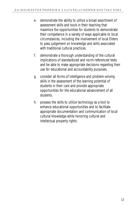- e. demonstrate the ability to utilize a broad assortment of assessment skills and tools in their teaching that maximize the opportunities for students to demonstrate their competence in a variety of ways applicable to local circumstances, including the involvement of local Elders to pass judgement on knowledge and skills associated with traditional cultural practices.
- f. demonstrate a thorough understanding of the cultural implications of standardized and norm-referenced tests and be able to make appropriate decisions regarding their use for educational and accountability purposes.
- g. consider all forms of intelligence and problem-solving skills in the assessment of the learning potential of students in their care and provide appropriate opportunities for the educational advancement of all students.
- h. possess the skills to utilize technology as a tool to enhance educational opportunities and to facilitate appropriate documentation and communication of local cultural knowledge while honoring cultural and intellectual property rights.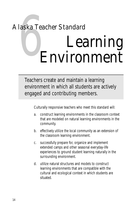### laska Tead<br>**Exploration** Alaska Teacher Standard Learning Environment

Teachers create and maintain a learning environment in which all students are actively engaged and contributing members.

- a. construct learning environments in the classroom context that are modeled on natural learning environments in the community.
- b. effectively utilize the local community as an extension of the classroom learning environment.
- c. successfully prepare for, organize and implement extended camps and other seasonal everyday-life experiences to ground student learning naturally in the surrounding environment.
- d. utilize natural structures and models to construct learning environments that are compatible with the cultural and ecological context in which students are situated.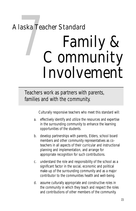#### laska Tead<br>*(* Alaska Teacher Standard Family & Community Involvement

Teachers work as partners with parents, families and with the community.

- a. effectively identify and utilize the resources and expertise in the surrounding community to enhance the learning opportunities of the students.
- b. develop partnerships with parents, Elders, school board members and other community representatives as coteachers in all aspects of their curricular and instructional planning and implementation, and arrange for appropriate recognition for such contributions.
- c. understand the role and responsibility of the school as a significant factor in the social, economic and political make-up of the surrounding community and as a major contributor to the communities health and well-being.
- d. assume culturally appropriate and constructive roles in the community in which they teach and respect the roles and contributions of other members of the community.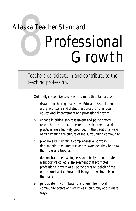### laska Tead Alaska Teacher Standard Professional Growth

Teachers participate in and contribute to the teaching profession.

- a. draw upon the regional Native Educator Associations along with state and district resources for their own educational improvement and professional growth.
- b. engage in critical self-assessment and participatory research to ascertain the extent to which their teaching practices are effectively grounded in the traditional ways of transmitting the culture of the surrounding community.
- c. prepare and maintain a comprehensive portfolio documenting the strengths and weaknesses they bring to their role as a teacher.
- d. demonstrate their willingness and ability to contribute to a supportive collegial environment that promotes professional growth of all participants on behalf of the educational and cultural well-being of the students in their care.
- e. participate in, contribute to and learn from local community events and activities in culturally appropriate ways.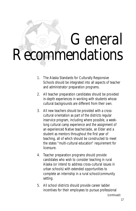### General Recommendations

- 1. The Alaska Standards for Culturally Responsive Schools should be integrated into all aspects of teacher and administrator preparation programs.
- 2. All teacher preparation candidates should be provided in-depth experiences in working with students whose cultural backgrounds are different from their own.
- 3. All new teachers should be provided with a crosscultural orientation as part of the districts regular inservice program, including where possible, a weeklong cultural camp experience and the assignment of an experienced Native teacher/aide, an Elder and a student as mentors throughout the first year of teaching, all of which should be constructed to meet the states "multi-cultural education" requirement for licensure.
- 4. Teacher preparation programs should provide candidates who wish to consider teaching in rural Alaska (or intend to address cross-cultural issues in urban schools) with extended opportunities to complete an internship in a rural school/community setting.
- 5. All school districts should provide career ladder incentives for their employees to pursue professional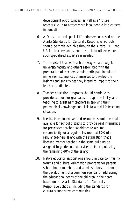development opportunities, as well as a "future teachers" club to attract more local people into careers in education.

- 6. A "cross-cultural specialist" endorsement based on the Alaska Standards for Culturally Responsive Schools should be made available through the Alaska DOE and UA for teachers and school districts to utilize where such specialized expertise is needed.
- 7. To the extent that we teach the way we are taught, university faculty and others associated with the preparation of teachers should participate in cultural immersion experiences themselves to develop the insights and sensitivities they intend to impart to their teacher candidates.
- 8. Teacher education programs should continue to provide support for graduates through the first year of teaching to assist new teachers in applying their pedagogical knowledge and skills to a real-life teaching situation.
- 9. Mechanisms, incentives and resources should be made available for school districts to provide paid internships for preservice teacher candidates to assume responsibility for a regular classroom at 60% of a regular teachers salary, with the stipulation that a licensed mentor teacher in the same building be assigned to guide and supervise the intern, utilizing the remaining 40% of the salary.
- 10. Native educator associations should initiate community forums and cultural orientation programs for parents, school board members and administrators to promote the development of a common agenda for addressing the educational needs of the children in their care based on the Alaska Standards for Culturally Responsive Schools, including the standards for culturally supportive communities.